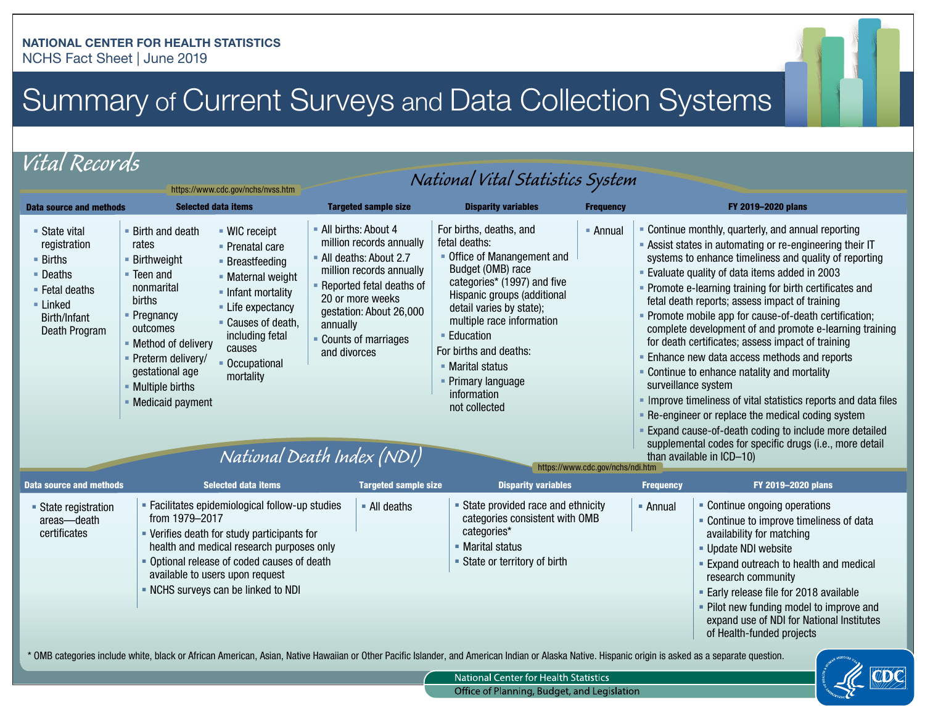## Summary of Current Surveys and Data Collection Systems

*Vital Records* 

| National Vital Statistics System<br>https://www.cdc.gov/nchs/nvss.htm                                                                          |                                                                                                                                                                                                                                                                                        |                                                                                                                                                                                                     |                                                                                                                                                                                                                                                                        |                                                                                                                                                                                                                                                                                                                                                                                           |                  |                                                                                                                                                                                                                                                                                                                                                                                                                                                                                                                                                                                                                                                                                                                                                                                                                                                                                                                      |                                                                                                                                                                                                                                                 |  |
|------------------------------------------------------------------------------------------------------------------------------------------------|----------------------------------------------------------------------------------------------------------------------------------------------------------------------------------------------------------------------------------------------------------------------------------------|-----------------------------------------------------------------------------------------------------------------------------------------------------------------------------------------------------|------------------------------------------------------------------------------------------------------------------------------------------------------------------------------------------------------------------------------------------------------------------------|-------------------------------------------------------------------------------------------------------------------------------------------------------------------------------------------------------------------------------------------------------------------------------------------------------------------------------------------------------------------------------------------|------------------|----------------------------------------------------------------------------------------------------------------------------------------------------------------------------------------------------------------------------------------------------------------------------------------------------------------------------------------------------------------------------------------------------------------------------------------------------------------------------------------------------------------------------------------------------------------------------------------------------------------------------------------------------------------------------------------------------------------------------------------------------------------------------------------------------------------------------------------------------------------------------------------------------------------------|-------------------------------------------------------------------------------------------------------------------------------------------------------------------------------------------------------------------------------------------------|--|
| <b>Data source and methods</b>                                                                                                                 | <b>Selected data items</b>                                                                                                                                                                                                                                                             |                                                                                                                                                                                                     | <b>Targeted sample size</b>                                                                                                                                                                                                                                            | <b>Disparity variables</b>                                                                                                                                                                                                                                                                                                                                                                | <b>Frequency</b> |                                                                                                                                                                                                                                                                                                                                                                                                                                                                                                                                                                                                                                                                                                                                                                                                                                                                                                                      | FY 2019-2020 plans                                                                                                                                                                                                                              |  |
| ■ State vital<br>registration<br>$\blacksquare$ Births<br>■ Deaths<br>$\blacksquare$ Fetal deaths<br>■ Linked<br>Birth/Infant<br>Death Program | • Birth and death<br>rates<br>■ Birthweight<br>$\blacksquare$ Teen and<br>nonmarital<br>births<br>• Pregnancy<br>outcomes<br>• Method of delivery<br>- Preterm delivery/<br>gestational age<br>- Multiple births<br>• Medicaid payment                                                 | ■ WIC receipt<br>• Prenatal care<br>■ Breastfeeding<br>- Maternal weight<br>• Infant mortality<br>• Life expectancy<br>• Causes of death,<br>including fetal<br>causes<br>Occupational<br>mortality | - All births: About 4<br>million records annually<br>- All deaths: About 2.7<br>million records annually<br>- Reported fetal deaths of<br>20 or more weeks<br>gestation: About 26,000<br>annually<br>Counts of marriages<br>and divorces<br>National Death Index (NDI) | For births, deaths, and<br>- Annual<br>fetal deaths:<br>• Office of Manangement and<br>Budget (OMB) race<br>categories* (1997) and five<br>Hispanic groups (additional<br>detail varies by state);<br>multiple race information<br><b>Education</b><br>For births and deaths:<br>• Marital status<br>Primary language<br>information<br>not collected<br>https://www.cdc.gov/nchs/ndi.htm |                  | • Continue monthly, quarterly, and annual reporting<br>- Assist states in automating or re-engineering their IT<br>systems to enhance timeliness and quality of reporting<br>• Evaluate quality of data items added in 2003<br>• Promote e-learning training for birth certificates and<br>fetal death reports; assess impact of training<br>- Promote mobile app for cause-of-death certification;<br>complete development of and promote e-learning training<br>for death certificates; assess impact of training<br>• Enhance new data access methods and reports<br>- Continue to enhance natality and mortality<br>surveillance system<br>Improve timeliness of vital statistics reports and data files<br>• Re-engineer or replace the medical coding system<br>Expand cause-of-death coding to include more detailed<br>supplemental codes for specific drugs (i.e., more detail<br>than available in ICD-10) |                                                                                                                                                                                                                                                 |  |
| <b>Data source and methods</b>                                                                                                                 |                                                                                                                                                                                                                                                                                        | <b>Selected data items</b>                                                                                                                                                                          | <b>Targeted sample size</b>                                                                                                                                                                                                                                            | <b>Disparity variables</b>                                                                                                                                                                                                                                                                                                                                                                |                  | <b>Frequency</b>                                                                                                                                                                                                                                                                                                                                                                                                                                                                                                                                                                                                                                                                                                                                                                                                                                                                                                     | FY 2019-2020 plans                                                                                                                                                                                                                              |  |
| • State registration<br>areas-death<br>certificates                                                                                            | - Facilitates epidemiological follow-up studies<br>from 1979-2017<br>• Verifies death for study participants for<br>health and medical research purposes only<br>• Optional release of coded causes of death<br>available to users upon request<br>- NCHS surveys can be linked to NDI |                                                                                                                                                                                                     | $\blacksquare$ All deaths                                                                                                                                                                                                                                              | - State provided race and ethnicity<br>categories consistent with OMB<br>categories*<br>• Marital status<br>• State or territory of birth                                                                                                                                                                                                                                                 |                  | $-$ Annual                                                                                                                                                                                                                                                                                                                                                                                                                                                                                                                                                                                                                                                                                                                                                                                                                                                                                                           | - Continue ongoing operations<br>• Continue to improve timeliness of data<br>availability for matching<br>- Update NDI website<br><b>Expand outreach to health and medical</b><br>research community<br>- Early release file for 2018 available |  |
|                                                                                                                                                |                                                                                                                                                                                                                                                                                        |                                                                                                                                                                                                     |                                                                                                                                                                                                                                                                        |                                                                                                                                                                                                                                                                                                                                                                                           |                  |                                                                                                                                                                                                                                                                                                                                                                                                                                                                                                                                                                                                                                                                                                                                                                                                                                                                                                                      | • Pilot new funding model to improve and<br>expand use of NDI for National Institutes<br>of Health-funded projects                                                                                                                              |  |

\* OMB categories include white, black or African American, Asian, Native Hawaiian or Other Pacifc Islander, and American Indian or Alaska Native. Hispanic origin is asked as a separate question.



National Center for Health Statistics Office of Planning, Budget, and Legislation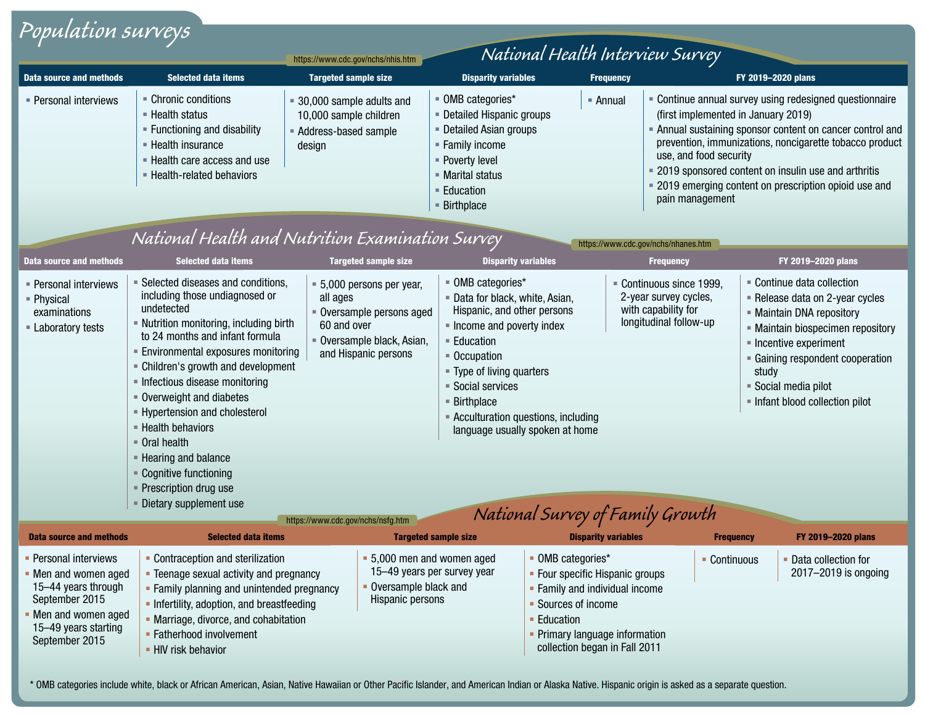| Population surveys                                                                                                                                       |                                                                                                                                                                                                                                                                                                                                                                                                                                                                                                         |                                                                                                                                                                              |                                                                                                                                                                                                                                                                                                                                                |                            |                                                                                                                                                                                                                                                                                                                                                                                        |                                                                                                                                                                                                                                                               |  |
|----------------------------------------------------------------------------------------------------------------------------------------------------------|---------------------------------------------------------------------------------------------------------------------------------------------------------------------------------------------------------------------------------------------------------------------------------------------------------------------------------------------------------------------------------------------------------------------------------------------------------------------------------------------------------|------------------------------------------------------------------------------------------------------------------------------------------------------------------------------|------------------------------------------------------------------------------------------------------------------------------------------------------------------------------------------------------------------------------------------------------------------------------------------------------------------------------------------------|----------------------------|----------------------------------------------------------------------------------------------------------------------------------------------------------------------------------------------------------------------------------------------------------------------------------------------------------------------------------------------------------------------------------------|---------------------------------------------------------------------------------------------------------------------------------------------------------------------------------------------------------------------------------------------------------------|--|
| National Health Interview Survey                                                                                                                         |                                                                                                                                                                                                                                                                                                                                                                                                                                                                                                         |                                                                                                                                                                              |                                                                                                                                                                                                                                                                                                                                                |                            |                                                                                                                                                                                                                                                                                                                                                                                        |                                                                                                                                                                                                                                                               |  |
|                                                                                                                                                          |                                                                                                                                                                                                                                                                                                                                                                                                                                                                                                         | https://www.cdc.gov/nchs/nhis.htm                                                                                                                                            |                                                                                                                                                                                                                                                                                                                                                |                            |                                                                                                                                                                                                                                                                                                                                                                                        |                                                                                                                                                                                                                                                               |  |
| <b>Data source and methods</b>                                                                                                                           | <b>Selected data items</b>                                                                                                                                                                                                                                                                                                                                                                                                                                                                              | <b>Targeted sample size</b>                                                                                                                                                  | <b>Disparity variables</b>                                                                                                                                                                                                                                                                                                                     | <b>Frequency</b>           |                                                                                                                                                                                                                                                                                                                                                                                        | FY 2019-2020 plans                                                                                                                                                                                                                                            |  |
| • Personal interviews                                                                                                                                    | • Chronic conditions<br>■ Health status<br>- Functioning and disability<br>- Health insurance<br>- Health care access and use<br>- Health-related behaviors                                                                                                                                                                                                                                                                                                                                             | = 30,000 sample adults and<br>10,000 sample children<br>Address-based sample<br>design                                                                                       | • OMB categories*<br>• Annual<br>- Detailed Hispanic groups<br>• Detailed Asian groups<br>- Family income<br>- Poverty level<br>■ Marital status<br>■ Education<br>■ Birthplace                                                                                                                                                                |                            | - Continue annual survey using redesigned questionnaire<br>(first implemented in January 2019)<br>• Annual sustaining sponsor content on cancer control and<br>prevention, immunizations, noncigarette tobacco product<br>use, and food security<br>• 2019 sponsored content on insulin use and arthritis<br>• 2019 emerging content on prescription opioid use and<br>pain management |                                                                                                                                                                                                                                                               |  |
| National Health and Nutrition Examination Survey<br>https://www.cdc.gov/nchs/nhanes.htm                                                                  |                                                                                                                                                                                                                                                                                                                                                                                                                                                                                                         |                                                                                                                                                                              |                                                                                                                                                                                                                                                                                                                                                |                            |                                                                                                                                                                                                                                                                                                                                                                                        |                                                                                                                                                                                                                                                               |  |
| Data source and methods                                                                                                                                  | <b>Selected data items</b>                                                                                                                                                                                                                                                                                                                                                                                                                                                                              | <b>Targeted sample size</b>                                                                                                                                                  | <b>Disparity variables</b>                                                                                                                                                                                                                                                                                                                     |                            | <b>Frequency</b>                                                                                                                                                                                                                                                                                                                                                                       | FY 2019-2020 plans                                                                                                                                                                                                                                            |  |
| - Personal interviews<br>- Physical<br>examinations<br><b>Laboratory tests</b>                                                                           | • Selected diseases and conditions,<br>including those undiagnosed or<br>undetected<br>- Nutrition monitoring, including birth<br>to 24 months and infant formula<br><b>Environmental exposures monitoring</b><br>- Children's growth and development<br>Infectious disease monitoring<br>• Overweight and diabetes<br>- Hypertension and cholesterol<br>- Health behaviors<br>• Oral health<br>- Hearing and balance<br>• Cognitive functioning<br>• Prescription drug use<br>- Dietary supplement use | = 5,000 persons per year,<br>all ages<br>• Oversample persons aged<br>60 and over<br>· Oversample black, Asian,<br>and Hispanic persons<br>https://www.cdc.gov/nchs/nsfg.htm | ■ OMB categories*<br>· Data for black, white, Asian,<br>Hispanic, and other persons<br>Income and poverty index<br>$=$ Education<br>■ Occupation<br>" Type of living quarters<br>■ Social services<br>$\blacksquare$ Birthplace<br>- Acculturation questions, including<br>language usually spoken at home<br>National Survey of Family Growth |                            | Continuous since 1999,<br>2-year survey cycles,<br>with capability for<br>longitudinal follow-up                                                                                                                                                                                                                                                                                       | • Continue data collection<br>- Release data on 2-year cycles<br>- Maintain DNA repository<br>- Maintain biospecimen repository<br>- Incentive experiment<br>• Gaining respondent cooperation<br>study<br>Social media pilot<br>Infant blood collection pilot |  |
| <b>Data source and methods</b>                                                                                                                           | <b>Selected data items</b>                                                                                                                                                                                                                                                                                                                                                                                                                                                                              |                                                                                                                                                                              | <b>Targeted sample size</b>                                                                                                                                                                                                                                                                                                                    | <b>Disparity variables</b> | <b>Frequency</b>                                                                                                                                                                                                                                                                                                                                                                       | FY 2019-2020 plans                                                                                                                                                                                                                                            |  |
| - Personal interviews<br>• Men and women aged<br>15-44 years through<br>September 2015<br>• Men and women aged<br>15-49 years starting<br>September 2015 | • Contraception and sterilization<br>• Teenage sexual activity and pregnancy<br>• Family planning and unintended pregnancy<br>• Infertility, adoption, and breastfeeding<br>• Marriage, divorce, and cohabitation<br>• Fatherhood involvement<br>- HIV risk behavior                                                                                                                                                                                                                                    | • Oversample black and<br>Hispanic persons                                                                                                                                   | • 5,000 men and women aged<br>• OMB categories*<br>15-49 years per survey year<br>- Four specific Hispanic groups<br>- Family and individual income<br>• Sources of income<br>• Education<br>- Primary language information<br>collection began in Fall 2011                                                                                   |                            | • Continuous                                                                                                                                                                                                                                                                                                                                                                           | • Data collection for<br>2017-2019 is ongoing                                                                                                                                                                                                                 |  |

\* OMB categories include white, black or African American, Asian, Native Hawaiian or Other Pacifc Islander, and American Indian or Alaska Native. Hispanic origin is asked as a separate question.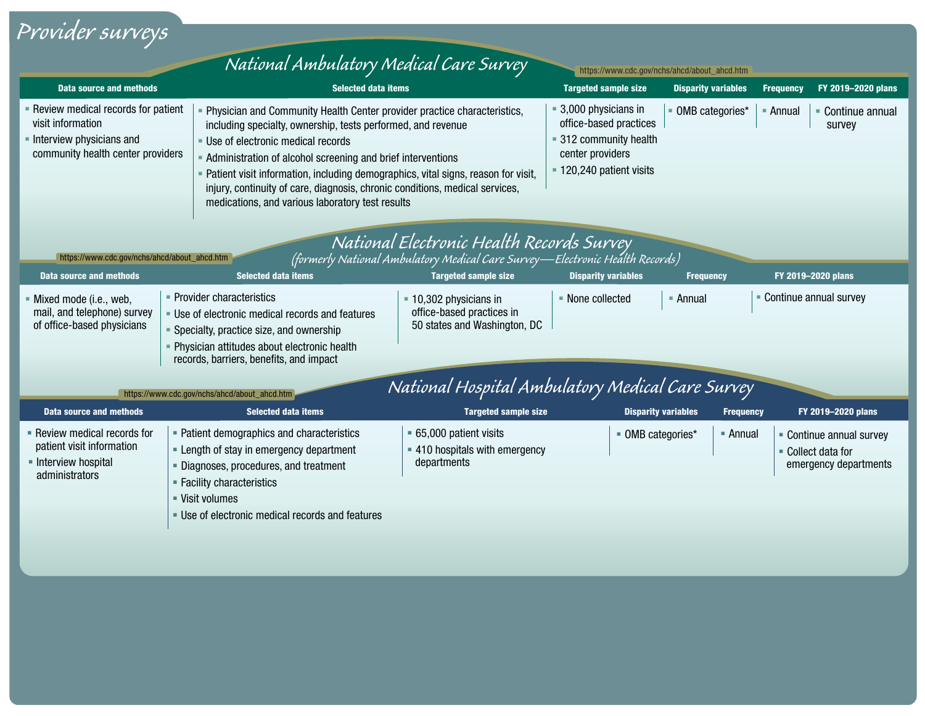## *Provider surveys*

|                                                                                                                                                                                                                                                                                                                | National Ambulatory Medical Care Survey                                                                                                                                                                                             | https://www.cdc.gov/nchs/ahcd/about_ahcd.htm                                                                                                                                                                                                                                                                                                                                                                                           |                            |                  |                                                                         |  |
|----------------------------------------------------------------------------------------------------------------------------------------------------------------------------------------------------------------------------------------------------------------------------------------------------------------|-------------------------------------------------------------------------------------------------------------------------------------------------------------------------------------------------------------------------------------|----------------------------------------------------------------------------------------------------------------------------------------------------------------------------------------------------------------------------------------------------------------------------------------------------------------------------------------------------------------------------------------------------------------------------------------|----------------------------|------------------|-------------------------------------------------------------------------|--|
| Data source and methods                                                                                                                                                                                                                                                                                        |                                                                                                                                                                                                                                     | <b>Selected data items</b>                                                                                                                                                                                                                                                                                                                                                                                                             |                            |                  | FY 2019-2020 plans<br><b>Frequency</b>                                  |  |
| - Review medical records for patient<br>visit information<br>Interview physicians and<br>community health center providers                                                                                                                                                                                     | - Use of electronic medical records                                                                                                                                                                                                 | - Physician and Community Health Center provider practice characteristics,<br>including specialty, ownership, tests performed, and revenue<br>- Administration of alcohol screening and brief interventions<br>- Patient visit information, including demographics, vital signs, reason for visit,<br>injury, continuity of care, diagnosis, chronic conditions, medical services,<br>medications, and various laboratory test results |                            | OMB categories*  | • Continue annual<br>■ Annual<br>survey                                 |  |
| https://www.cdc.gov/nchs/ahcd/about_ahcd.htm<br>Data source and methods                                                                                                                                                                                                                                        | <b>Selected data items</b>                                                                                                                                                                                                          | National Electronic Health Records Survey<br>(formerly National Ambulatory Medical Care Survey—Electronic Health Records)<br><b>Targeted sample size</b>                                                                                                                                                                                                                                                                               | <b>Disparity variables</b> | <b>Frequency</b> | FY 2019-2020 plans                                                      |  |
| • Provider characteristics<br>Mixed mode (i.e., web,<br>mail, and telephone) survey<br>• Use of electronic medical records and features<br>of office-based physicians<br>• Specialty, practice size, and ownership<br>- Physician attitudes about electronic health<br>records, barriers, benefits, and impact |                                                                                                                                                                                                                                     | = 10,302 physicians in<br>office-based practices in<br>50 states and Washington, DC                                                                                                                                                                                                                                                                                                                                                    | • None collected           | - Annual         | Continue annual survey                                                  |  |
| National Hospital Ambulatory Medical Care Survey<br>https://www.cdc.gov/nchs/ahcd/about_ahcd.htm                                                                                                                                                                                                               |                                                                                                                                                                                                                                     |                                                                                                                                                                                                                                                                                                                                                                                                                                        |                            |                  |                                                                         |  |
| <b>Data source and methods</b>                                                                                                                                                                                                                                                                                 | <b>Selected data items</b>                                                                                                                                                                                                          | <b>Targeted sample size</b>                                                                                                                                                                                                                                                                                                                                                                                                            | <b>Disparity variables</b> | <b>Frequency</b> | FY 2019-2020 plans                                                      |  |
| • Review medical records for<br>patient visit information<br>- Interview hospital<br>administrators                                                                                                                                                                                                            | - Patient demographics and characteristics<br>- Length of stay in emergency department<br>Diagnoses, procedures, and treatment<br>- Facility characteristics<br>■ Visit volumes<br>. Use of electronic medical records and features | • 65,000 patient visits<br>• 410 hospitals with emergency<br>departments                                                                                                                                                                                                                                                                                                                                                               | • OMB categories*          | - Annual         | • Continue annual survey<br>• Collect data for<br>emergency departments |  |